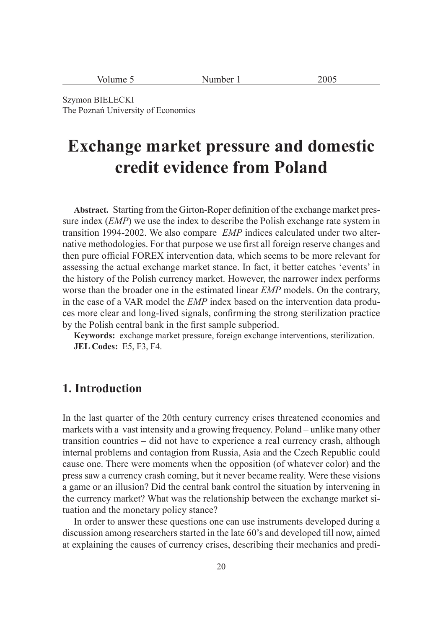| $\sqrt{$ olume $\sqrt{ }$ | Number<br>$\sim$ $\sim$ | 200 <sup>2</sup> |
|---------------------------|-------------------------|------------------|
|---------------------------|-------------------------|------------------|

Szymon BIELECKI The Poznań University of Economics

# **Exchange market pressure and domestic credit evidence from Poland**

Abstract. Starting from the Girton-Roper definition of the exchange market pressure index (*EMP*) we use the index to describe the Polish exchange rate system in transition 1994-2002. We also compare *EMP* indices calculated under two alternative methodologies. For that purpose we use first all foreign reserve changes and then pure official FOREX intervention data, which seems to be more relevant for assessing the actual exchange market stance. In fact, it better catches 'events' in the history of the Polish currency market. However, the narrower index performs worse than the broader one in the estimated linear *EMP* models. On the contrary, in the case of a VAR model the *EMP* index based on the intervention data produces more clear and long-lived signals, confirming the strong sterilization practice by the Polish central bank in the first sample subperiod.

**Keywords:** exchange market pressure, foreign exchange interventions, sterilization. **JEL Codes:** E5, F3, F4.

## **1. Introduction**

In the last quarter of the 20th century currency crises threatened economies and markets with a vast intensity and a growing frequency. Poland – unlike many other transition countries – did not have to experience a real currency crash, although internal problems and contagion from Russia, Asia and the Czech Republic could cause one. There were moments when the opposition (of whatever color) and the press saw a currency crash coming, but it never became reality. Were these visions a game or an illusion? Did the central bank control the situation by intervening in the currency market? What was the relationship between the exchange market situation and the monetary policy stance?

In order to answer these questions one can use instruments developed during a discussion among researchers started in the late 60's and developed till now, aimed at explaining the causes of currency crises, describing their mechanics and predi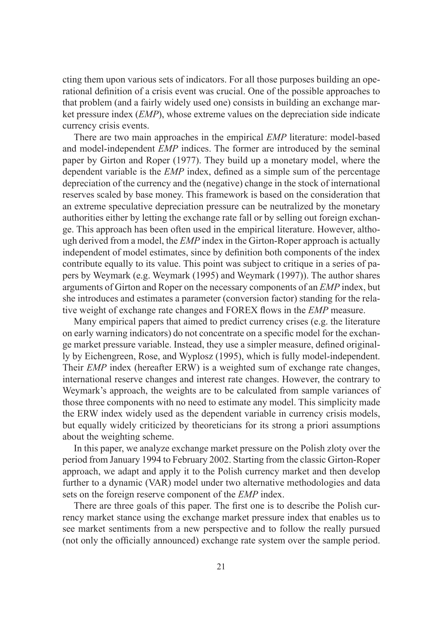cting them upon various sets of indicators. For all those purposes building an operational definition of a crisis event was crucial. One of the possible approaches to that problem (and a fairly widely used one) consists in building an exchange market pressure index (*EMP*), whose extreme values on the depreciation side indicate currency crisis events.

There are two main approaches in the empirical *EMP* literature: model-based and model-independent *EMP* indices. The former are introduced by the seminal paper by Girton and Roper (1977). They build up a monetary model, where the dependent variable is the *EMP* index, defined as a simple sum of the percentage depreciation of the currency and the (negative) change in the stock of international reserves scaled by base money. This framework is based on the consideration that an extreme speculative depreciation pressure can be neutralized by the monetary authorities either by letting the exchange rate fall or by selling out foreign exchange. This approach has been often used in the empirical literature. However, although derived from a model, the *EMP* index in the Girton-Roper approach is actually independent of model estimates, since by definition both components of the index contribute equally to its value. This point was subject to critique in a series of papers by Weymark (e.g. Weymark (1995) and Weymark (1997)). The author shares arguments of Girton and Roper on the necessary components of an *EMP* index, but she introduces and estimates a parameter (conversion factor) standing for the relative weight of exchange rate changes and FOREX flows in the *EMP* measure.

Many empirical papers that aimed to predict currency crises (e.g. the literature on early warning indicators) do not concentrate on a specific model for the exchange market pressure variable. Instead, they use a simpler measure, defined originally by Eichengreen, Rose, and Wyplosz (1995), which is fully model-independent. Their *EMP* index (hereafter ERW) is a weighted sum of exchange rate changes, international reserve changes and interest rate changes. However, the contrary to Weymark's approach, the weights are to be calculated from sample variances of those three components with no need to estimate any model. This simplicity made the ERW index widely used as the dependent variable in currency crisis models, but equally widely criticized by theoreticians for its strong a priori assumptions about the weighting scheme.

In this paper, we analyze exchange market pressure on the Polish zloty over the period from January 1994 to February 2002. Starting from the classic Girton-Roper approach, we adapt and apply it to the Polish currency market and then develop further to a dynamic (VAR) model under two alternative methodologies and data sets on the foreign reserve component of the *EMP* index.

There are three goals of this paper. The first one is to describe the Polish currency market stance using the exchange market pressure index that enables us to see market sentiments from a new perspective and to follow the really pursued (not only the officially announced) exchange rate system over the sample period.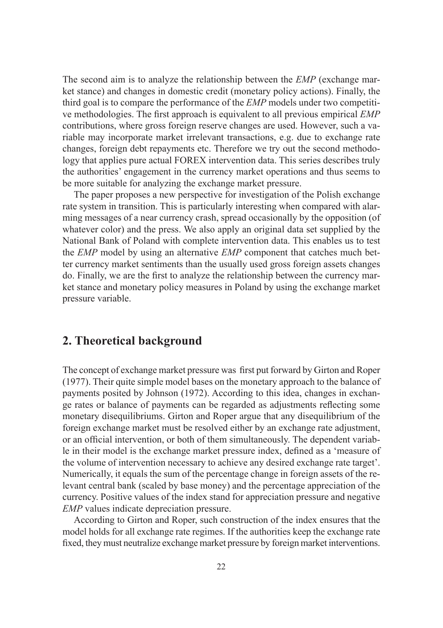The second aim is to analyze the relationship between the *EMP* (exchange market stance) and changes in domestic credit (monetary policy actions). Finally, the third goal is to compare the performance of the *EMP* models under two competitive methodologies. The first approach is equivalent to all previous empirical *EMP* contributions, where gross foreign reserve changes are used. However, such a variable may incorporate market irrelevant transactions, e.g. due to exchange rate changes, foreign debt repayments etc. Therefore we try out the second methodology that applies pure actual FOREX intervention data. This series describes truly the authorities' engagement in the currency market operations and thus seems to be more suitable for analyzing the exchange market pressure.

The paper proposes a new perspective for investigation of the Polish exchange rate system in transition. This is particularly interesting when compared with alarming messages of a near currency crash, spread occasionally by the opposition (of whatever color) and the press. We also apply an original data set supplied by the National Bank of Poland with complete intervention data. This enables us to test the *EMP* model by using an alternative *EMP* component that catches much better currency market sentiments than the usually used gross foreign assets changes do. Finally, we are the first to analyze the relationship between the currency market stance and monetary policy measures in Poland by using the exchange market pressure variable.

## **2. Theoretical background**

The concept of exchange market pressure was first put forward by Girton and Roper (1977). Their quite simple model bases on the monetary approach to the balance of payments posited by Johnson (1972). According to this idea, changes in exchange rates or balance of payments can be regarded as adjustments reflecting some monetary disequilibriums. Girton and Roper argue that any disequilibrium of the foreign exchange market must be resolved either by an exchange rate adjustment, or an official intervention, or both of them simultaneously. The dependent variable in their model is the exchange market pressure index, defined as a 'measure of the volume of intervention necessary to achieve any desired exchange rate target'. Numerically, it equals the sum of the percentage change in foreign assets of the relevant central bank (scaled by base money) and the percentage appreciation of the currency. Positive values of the index stand for appreciation pressure and negative *EMP* values indicate depreciation pressure.

According to Girton and Roper, such construction of the index ensures that the model holds for all exchange rate regimes. If the authorities keep the exchange rate fixed, they must neutralize exchange market pressure by foreign market interventions.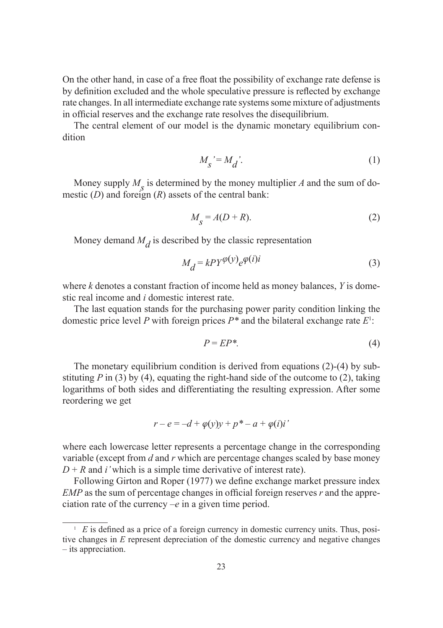On the other hand, in case of a free float the possibility of exchange rate defense is by definition excluded and the whole speculative pressure is reflected by exchange rate changes. In all intermediate exchange rate systems some mixture of adjustments in official reserves and the exchange rate resolves the disequilibrium.

The central element of our model is the dynamic monetary equilibrium condition

$$
M_{\mathcal{S}} = M_{\mathcal{d}}^{\prime}.\tag{1}
$$

Money supply  $M<sub>s</sub>$  is determined by the money multiplier *A* and the sum of domestic (*D*) and foreign (*R*) assets of the central bank:

$$
M_{S} = A(D+R). \tag{2}
$$

Money demand  $M_d$  is described by the classic representation

$$
M_d = k^2 \varphi^{(y)} e^{\varphi(i)i} \tag{3}
$$

where *k* denotes a constant fraction of income held as money balances, *Y* is domestic real income and *i* domestic interest rate.

The last equation stands for the purchasing power parity condition linking the domestic price level *P* with foreign prices *P\** and the bilateral exchange rate *E*<sup>1</sup> :

$$
P = EP^*.\tag{4}
$$

The monetary equilibrium condition is derived from equations (2)-(4) by substituting  $P$  in (3) by (4), equating the right-hand side of the outcome to (2), taking logarithms of both sides and differentiating the resulting expression. After some reordering we get

$$
r - e = -d + \varphi(y)y + p^* - a + \varphi(i)i'
$$

where each lowercase letter represents a percentage change in the corresponding variable (except from *d* and *r* which are percentage changes scaled by base money  $D + R$  and *i*' which is a simple time derivative of interest rate).

Following Girton and Roper (1977) we define exchange market pressure index *EMP* as the sum of percentage changes in official foreign reserves *r* and the appreciation rate of the currency *–e* in a given time period.

 $E E$  is defined as a price of a foreign currency in domestic currency units. Thus, positive changes in *E* represent depreciation of the domestic currency and negative changes – its appreciation.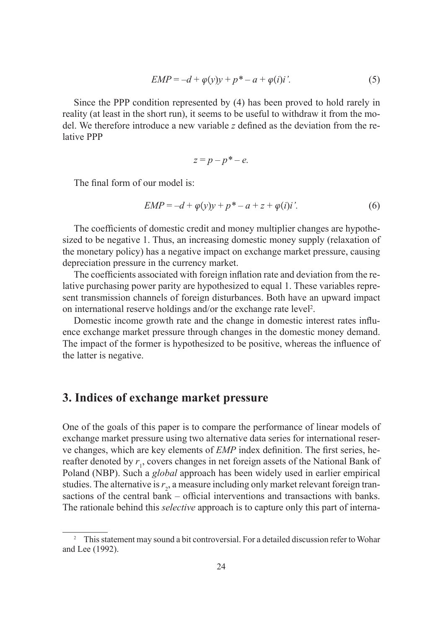$$
EMP = -d + \varphi(y)y + p^* - a + \varphi(i)i'. \tag{5}
$$

Since the PPP condition represented by (4) has been proved to hold rarely in reality (at least in the short run), it seems to be useful to withdraw it from the model. We therefore introduce a new variable  $z$  defined as the deviation from the relative PPP

$$
z = p - p^* - e.
$$

The final form of our model is:

$$
EMP = -d + \varphi(y)y + p^* - a + z + \varphi(i)i'. \tag{6}
$$

The coefficients of domestic credit and money multiplier changes are hypothesized to be negative 1. Thus, an increasing domestic money supply (relaxation of the monetary policy) has a negative impact on exchange market pressure, causing depreciation pressure in the currency market.

The coefficients associated with foreign inflation rate and deviation from the relative purchasing power parity are hypothesized to equal 1. These variables represent transmission channels of foreign disturbances. Both have an upward impact on international reserve holdings and/or the exchange rate level<sup>2</sup>.

Domestic income growth rate and the change in domestic interest rates influence exchange market pressure through changes in the domestic money demand. The impact of the former is hypothesized to be positive, whereas the influence of the latter is negative.

## **3. Indices of exchange market pressure**

One of the goals of this paper is to compare the performance of linear models of exchange market pressure using two alternative data series for international reserve changes, which are key elements of *EMP* index definition. The first series, hereafter denoted by  $r_1$ , covers changes in net foreign assets of the National Bank of Poland (NBP). Such a *global* approach has been widely used in earlier empirical studies. The alternative is  $r_2$ , a measure including only market relevant foreign transactions of the central bank  $-$  official interventions and transactions with banks. The rationale behind this *selective* approach is to capture only this part of interna-

<sup>&</sup>lt;sup>2</sup> This statement may sound a bit controversial. For a detailed discussion refer to Wohar and Lee (1992).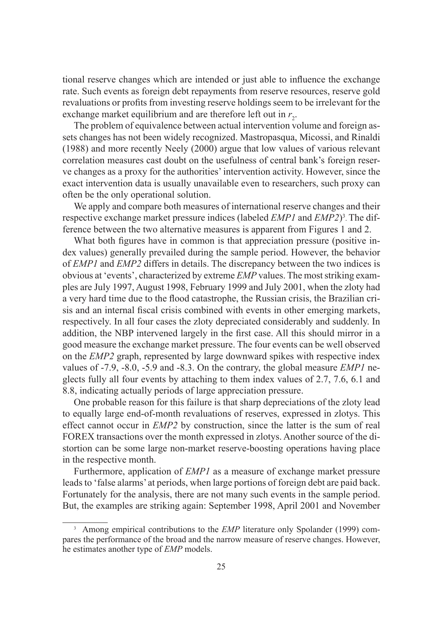tional reserve changes which are intended or just able to influence the exchange rate. Such events as foreign debt repayments from reserve resources, reserve gold revaluations or profits from investing reserve holdings seem to be irrelevant for the exchange market equilibrium and are therefore left out in  $r_2$ .

The problem of equivalence between actual intervention volume and foreign assets changes has not been widely recognized. Mastropasqua, Micossi, and Rinaldi (1988) and more recently Neely (2000) argue that low values of various relevant correlation measures cast doubt on the usefulness of central bank's foreign reserve changes as a proxy for the authorities' intervention activity. However, since the exact intervention data is usually unavailable even to researchers, such proxy can often be the only operational solution.

We apply and compare both measures of international reserve changes and their respective exchange market pressure indices (labeled *EMP1* and *EMP2*)3 . The difference between the two alternative measures is apparent from Figures 1 and 2.

What both figures have in common is that appreciation pressure (positive index values) generally prevailed during the sample period. However, the behavior of *EMP1* and *EMP2* differs in details. The discrepancy between the two indices is obvious at 'events', characterized by extreme *EMP* values. The most striking examples are July 1997, August 1998, February 1999 and July 2001, when the zloty had a very hard time due to the flood catastrophe, the Russian crisis, the Brazilian crisis and an internal fiscal crisis combined with events in other emerging markets, respectively. In all four cases the zloty depreciated considerably and suddenly. In addition, the NBP intervened largely in the first case. All this should mirror in a good measure the exchange market pressure. The four events can be well observed on the *EMP2* graph, represented by large downward spikes with respective index values of -7.9, -8.0, -5.9 and -8.3. On the contrary, the global measure *EMP1* neglects fully all four events by attaching to them index values of 2.7, 7.6, 6.1 and 8.8, indicating actually periods of large appreciation pressure.

One probable reason for this failure is that sharp depreciations of the zloty lead to equally large end-of-month revaluations of reserves, expressed in zlotys. This effect cannot occur in *EMP2* by construction, since the latter is the sum of real FOREX transactions over the month expressed in zlotys. Another source of the distortion can be some large non-market reserve-boosting operations having place in the respective month.

Furthermore, application of *EMP1* as a measure of exchange market pressure leads to 'false alarms' at periods, when large portions of foreign debt are paid back. Fortunately for the analysis, there are not many such events in the sample period. But, the examples are striking again: September 1998, April 2001 and November

<sup>&</sup>lt;sup>3</sup> Among empirical contributions to the *EMP* literature only Spolander (1999) compares the performance of the broad and the narrow measure of reserve changes. However, he estimates another type of *EMP* models.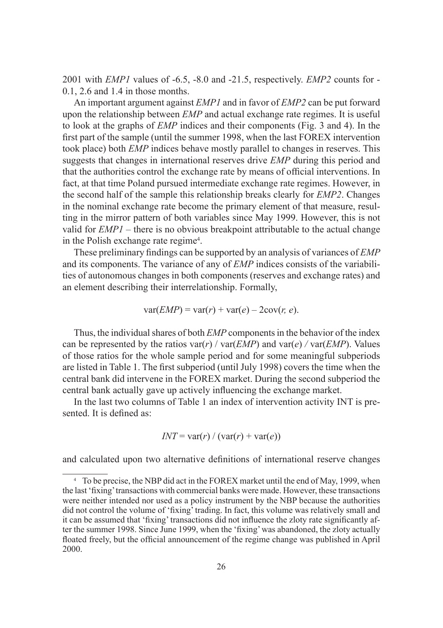2001 with *EMP1* values of -6.5, -8.0 and -21.5, respectively. *EMP2* counts for - 0.1, 2.6 and 1.4 in those months.

An important argument against *EMP1* and in favor of *EMP2* can be put forward upon the relationship between *EMP* and actual exchange rate regimes. It is useful to look at the graphs of *EMP* indices and their components (Fig. 3 and 4). In the first part of the sample (until the summer 1998, when the last FOREX intervention took place) both *EMP* indices behave mostly parallel to changes in reserves. This suggests that changes in international reserves drive *EMP* during this period and that the authorities control the exchange rate by means of official interventions. In fact, at that time Poland pursued intermediate exchange rate regimes. However, in the second half of the sample this relationship breaks clearly for *EMP2*. Changes in the nominal exchange rate become the primary element of that measure, resulting in the mirror pattern of both variables since May 1999. However, this is not valid for *EMP1* – there is no obvious breakpoint attributable to the actual change in the Polish exchange rate regime<sup>4</sup>.

These preliminary findings can be supported by an analysis of variances of *EMP* and its components. The variance of any of *EMP* indices consists of the variabilities of autonomous changes in both components (reserves and exchange rates) and an element describing their interrelationship. Formally,

$$
var(EMP) = var(r) + var(e) - 2cov(r, e).
$$

Thus, the individual shares of both *EMP* components in the behavior of the index can be represented by the ratios  $var(r)$  /  $var(EMP)$  and  $var(e)$  /  $var(EMP)$ . Values of those ratios for the whole sample period and for some meaningful subperiods are listed in Table 1. The first subperiod (until July 1998) covers the time when the central bank did intervene in the FOREX market. During the second subperiod the central bank actually gave up actively influencing the exchange market.

In the last two columns of Table 1 an index of intervention activity INT is presented. It is defined as:

$$
INT = \text{var}(r) / (\text{var}(r) + \text{var}(e))
$$

and calculated upon two alternative definitions of international reserve changes

<sup>4</sup> To be precise, the NBP did act in the FOREX market until the end of May, 1999, when the last 'fi xing' transactions with commercial banks were made. However, these transactions were neither intended nor used as a policy instrument by the NBP because the authorities did not control the volume of 'fixing' trading. In fact, this volume was relatively small and it can be assumed that 'fixing' transactions did not influence the zloty rate significantly after the summer 1998. Since June 1999, when the 'fixing' was abandoned, the zloty actually floated freely, but the official announcement of the regime change was published in April 2000.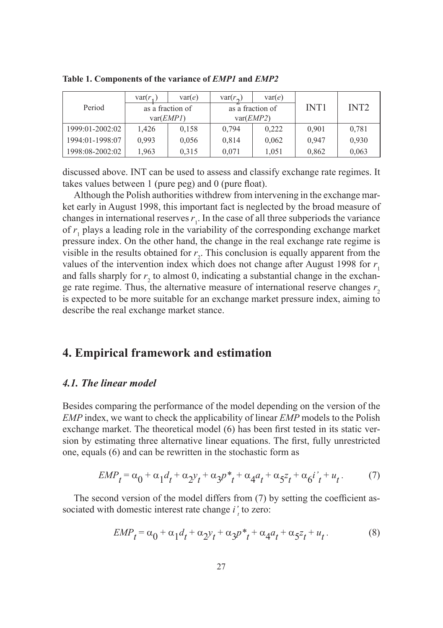|                 | var(r, | var(e)           | $var(r_{\alpha})$ | var(e)           |             |                  |
|-----------------|--------|------------------|-------------------|------------------|-------------|------------------|
| Period          |        | as a fraction of |                   | as a fraction of | <b>INT1</b> | INT <sub>2</sub> |
|                 |        | var(EMPI)        | var(EMP2)         |                  |             |                  |
| 1999:01-2002:02 | 1,426  | 0,158            | 0,794             | 0,222            | 0,901       | 0.781            |
| 1994:01-1998:07 | 0.993  | 0,056            | 0.814             | 0,062            | 0,947       | 0,930            |
| 1998:08-2002:02 | 1,963  | 0,315            | 0,071             | 1,051            | 0,862       | 0,063            |

**Table 1. Components of the variance of** *EMP1* **and** *EMP2*

discussed above. INT can be used to assess and classify exchange rate regimes. It takes values between 1 (pure peg) and 0 (pure float).

Although the Polish authorities withdrew from intervening in the exchange market early in August 1998, this important fact is neglected by the broad measure of changes in international reserves  $r_1$ . In the case of all three subperiods the variance of  $r_1$  plays a leading role in the variability of the corresponding exchange market pressure index. On the other hand, the change in the real exchange rate regime is visible in the results obtained for  $r<sub>2</sub>$ . This conclusion is equally apparent from the values of the intervention index which does not change after August 1998 for  $r<sub>1</sub>$ and falls sharply for  $r_2$  to almost 0, indicating a substantial change in the exchange rate regime. Thus, the alternative measure of international reserve changes  $r<sub>2</sub>$ is expected to be more suitable for an exchange market pressure index, aiming to describe the real exchange market stance.

## **4. Empirical framework and estimation**

#### *4.1. The linear model*

Besides comparing the performance of the model depending on the version of the *EMP* index, we want to check the applicability of linear *EMP* models to the Polish exchange market. The theoretical model  $(6)$  has been first tested in its static version by estimating three alternative linear equations. The first, fully unrestricted one, equals (6) and can be rewritten in the stochastic form as

$$
EMP_t = \alpha_0 + \alpha_1 d_t + \alpha_2 y_t + \alpha_3 p^* + \alpha_4 a_t + \alpha_5 z_t + \alpha_6 i' + u_t. \tag{7}
$$

The second version of the model differs from  $(7)$  by setting the coefficient associated with domestic interest rate change  $i'$  to zero:

$$
EMP_t = \alpha_0 + \alpha_1 d_t + \alpha_2 y_t + \alpha_3 p^* + \alpha_4 a_t + \alpha_5 z_t + u_t. \tag{8}
$$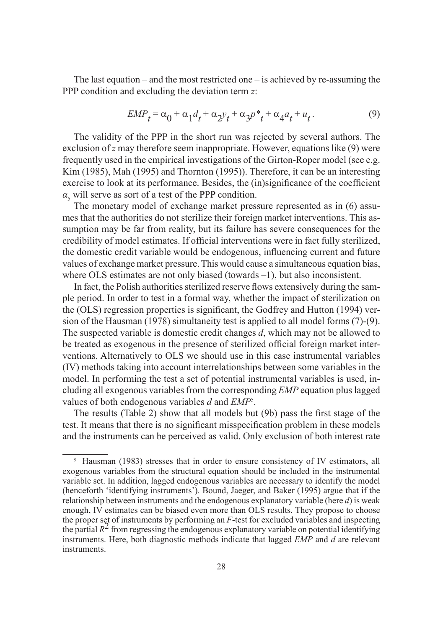The last equation – and the most restricted one – is achieved by re-assuming the PPP condition and excluding the deviation term *z*:

$$
EMP_t = \alpha_0 + \alpha_1 d_t + \alpha_2 y_t + \alpha_3 p^* + \alpha_4 a_t + u_t. \tag{9}
$$

The validity of the PPP in the short run was rejected by several authors. The exclusion of *z* may therefore seem inappropriate. However, equations like (9) were frequently used in the empirical investigations of the Girton-Roper model (see e.g. Kim (1985), Mah (1995) and Thornton (1995)). Therefore, it can be an interesting exercise to look at its performance. Besides, the (in)significance of the coefficient  $\alpha_5$  will serve as sort of a test of the PPP condition.

The monetary model of exchange market pressure represented as in (6) assumes that the authorities do not sterilize their foreign market interventions. This assumption may be far from reality, but its failure has severe consequences for the credibility of model estimates. If official interventions were in fact fully sterilized, the domestic credit variable would be endogenous, influencing current and future values of exchange market pressure. This would cause a simultaneous equation bias, where OLS estimates are not only biased (towards *–*1), but also inconsistent.

In fact, the Polish authorities sterilized reserve flows extensively during the sample period. In order to test in a formal way, whether the impact of sterilization on the (OLS) regression properties is significant, the Godfrey and Hutton (1994) version of the Hausman (1978) simultaneity test is applied to all model forms (7)-(9). The suspected variable is domestic credit changes *d*, which may not be allowed to be treated as exogenous in the presence of sterilized official foreign market interventions. Alternatively to OLS we should use in this case instrumental variables (IV) methods taking into account interrelationships between some variables in the model. In performing the test a set of potential instrumental variables is used, including all exogenous variables from the corresponding *EMP* equation plus lagged values of both endogenous variables *d* and *EMP*<sup>5</sup> .

The results (Table 2) show that all models but (9b) pass the first stage of the test. It means that there is no significant misspecification problem in these models and the instruments can be perceived as valid. Only exclusion of both interest rate

<sup>5</sup> Hausman (1983) stresses that in order to ensure consistency of IV estimators, all exogenous variables from the structural equation should be included in the instrumental variable set. In addition, lagged endogenous variables are necessary to identify the model (henceforth 'identifying instruments'). Bound, Jaeger, and Baker (1995) argue that if the relationship between instruments and the endogenous explanatory variable (here *d*) is weak enough, IV estimates can be biased even more than OLS results. They propose to choose the proper set of instruments by performing an *F*-test for excluded variables and inspecting the partial  $R^2$  from regressing the endogenous explanatory variable on potential identifying instruments. Here, both diagnostic methods indicate that lagged *EMP* and *d* are relevant instruments.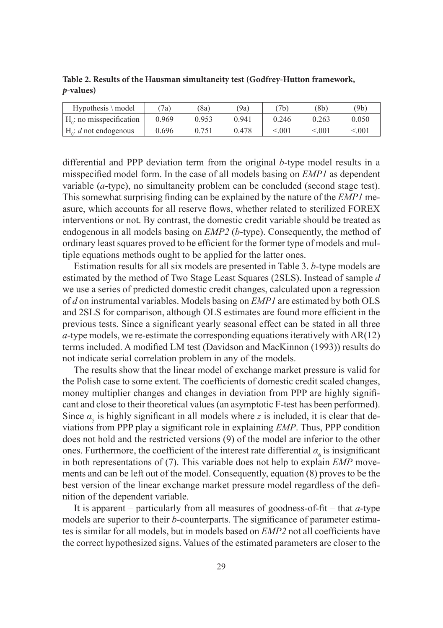| $Hypothesis \setminus model$ | 7a)   | '8a)  | (9a   | 7b    | (8b)        | (9b)  |
|------------------------------|-------|-------|-------|-------|-------------|-------|
| $H_0$ : no misspecification  | 0.969 | 0.953 | 0.941 | 0.246 | 0.263       | 0.050 |
| $H_0: d$ not endogenous      | 0.696 | 0.751 | 0.478 | < 001 | $\leq 0.01$ | < 001 |

**Table 2. Results of the Hausman simultaneity test (Godfrey-Hutton framework,**  *p***-values)**

differential and PPP deviation term from the original *b*-type model results in a misspecified model form. In the case of all models basing on *EMP1* as dependent variable (*a*-type), no simultaneity problem can be concluded (second stage test). This somewhat surprising finding can be explained by the nature of the *EMP1* measure, which accounts for all reserve flows, whether related to sterilized FOREX interventions or not. By contrast, the domestic credit variable should be treated as endogenous in all models basing on *EMP2* (*b*-type). Consequently, the method of ordinary least squares proved to be efficient for the former type of models and multiple equations methods ought to be applied for the latter ones.

Estimation results for all six models are presented in Table 3. *b*-type models are estimated by the method of Two Stage Least Squares (2SLS). Instead of sample *d*  we use a series of predicted domestic credit changes, calculated upon a regression of *d* on instrumental variables. Models basing on *EMP1* are estimated by both OLS and 2SLS for comparison, although OLS estimates are found more efficient in the previous tests. Since a significant yearly seasonal effect can be stated in all three *a*-type models, we re-estimate the corresponding equations iteratively with AR(12) terms included. A modified LM test (Davidson and MacKinnon (1993)) results do not indicate serial correlation problem in any of the models.

The results show that the linear model of exchange market pressure is valid for the Polish case to some extent. The coefficients of domestic credit scaled changes, money multiplier changes and changes in deviation from PPP are highly significant and close to their theoretical values (an asymptotic F-test has been performed). Since  $\alpha_5$  is highly significant in all models where *z* is included, it is clear that deviations from PPP play a significant role in explaining *EMP*. Thus, PPP condition does not hold and the restricted versions (9) of the model are inferior to the other ones. Furthermore, the coefficient of the interest rate differential  $\alpha_6$  is insignificant in both representations of (7). This variable does not help to explain *EMP* movements and can be left out of the model. Consequently, equation (8) proves to be the best version of the linear exchange market pressure model regardless of the definition of the dependent variable.

It is apparent – particularly from all measures of goodness-of-fit – that  $a$ -type models are superior to their *b*-counterparts. The significance of parameter estimates is similar for all models, but in models based on *EMP2* not all coefficients have the correct hypothesized signs. Values of the estimated parameters are closer to the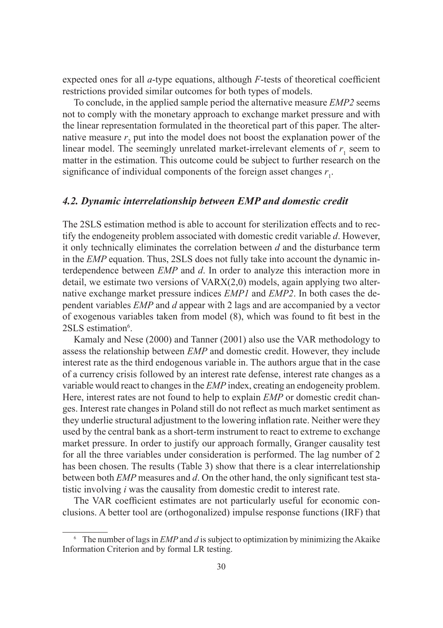expected ones for all  $a$ -type equations, although  $F$ -tests of theoretical coefficient restrictions provided similar outcomes for both types of models.

To conclude, in the applied sample period the alternative measure *EMP2* seems not to comply with the monetary approach to exchange market pressure and with the linear representation formulated in the theoretical part of this paper. The alternative measure  $r_2$  put into the model does not boost the explanation power of the linear model. The seemingly unrelated market-irrelevant elements of  $r_1$  seem to matter in the estimation. This outcome could be subject to further research on the significance of individual components of the foreign asset changes  $r_1$ .

#### *4.2. Dynamic interrelationship between EMP and domestic credit*

The 2SLS estimation method is able to account for sterilization effects and to rectify the endogeneity problem associated with domestic credit variable *d*. However, it only technically eliminates the correlation between *d* and the disturbance term in the *EMP* equation. Thus, 2SLS does not fully take into account the dynamic interdependence between *EMP* and *d*. In order to analyze this interaction more in detail, we estimate two versions of VARX(2,0) models, again applying two alternative exchange market pressure indices *EMP1* and *EMP2*. In both cases the dependent variables *EMP* and *d* appear with 2 lags and are accompanied by a vector of exogenous variables taken from model (8), which was found to fi t best in the 2SLS estimation<sup>6</sup>.

Kamaly and Nese (2000) and Tanner (2001) also use the VAR methodology to assess the relationship between *EMP* and domestic credit. However, they include interest rate as the third endogenous variable in. The authors argue that in the case of a currency crisis followed by an interest rate defense, interest rate changes as a variable would react to changes in the *EMP* index, creating an endogeneity problem. Here, interest rates are not found to help to explain *EMP* or domestic credit changes. Interest rate changes in Poland still do not reflect as much market sentiment as they underlie structural adjustment to the lowering inflation rate. Neither were they used by the central bank as a short-term instrument to react to extreme to exchange market pressure. In order to justify our approach formally, Granger causality test for all the three variables under consideration is performed. The lag number of 2 has been chosen. The results (Table 3) show that there is a clear interrelationship between both *EMP* measures and *d*. On the other hand, the only significant test statistic involving *i* was the causality from domestic credit to interest rate.

The VAR coefficient estimates are not particularly useful for economic conclusions. A better tool are (orthogonalized) impulse response functions (IRF) that

<sup>6</sup> The number of lags in *EMP* and *d* is subject to optimization by minimizing the Akaike Information Criterion and by formal LR testing.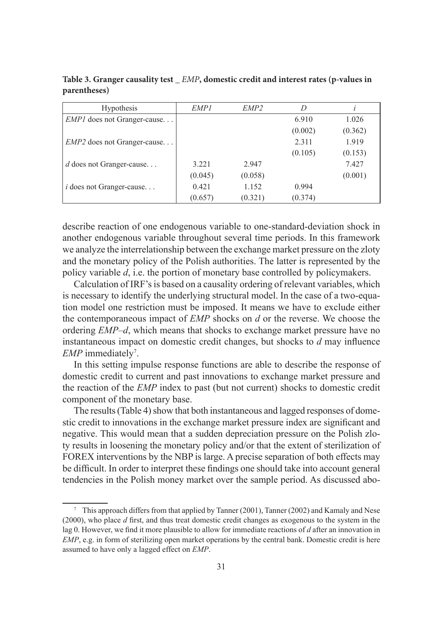| <b>Hypothesis</b>                  | EMP <sub>1</sub> | EMP <sub>2</sub> | D       |         |
|------------------------------------|------------------|------------------|---------|---------|
| <i>EMP1</i> does not Granger-cause |                  |                  | 6.910   | 1.026   |
|                                    |                  |                  | (0.002) | (0.362) |
| <i>EMP2</i> does not Granger-cause |                  |                  | 2.311   | 1.919   |
|                                    |                  |                  | (0.105) | (0.153) |
| $d$ does not Granger-cause         | 3.221            | 2.947            |         | 7.427   |
|                                    | (0.045)          | (0.058)          |         | (0.001) |
| $i$ does not Granger-cause         | 0.421            | 1.152            | 0.994   |         |
|                                    | (0.657)          | (0.321)          | (0.374) |         |

**Table 3. Granger causality test \_** *EMP***, domestic credit and interest rates (p-values in parentheses)**

describe reaction of one endogenous variable to one-standard-deviation shock in another endogenous variable throughout several time periods. In this framework we analyze the interrelationship between the exchange market pressure on the zloty and the monetary policy of the Polish authorities. The latter is represented by the policy variable *d*, i.e. the portion of monetary base controlled by policymakers.

Calculation of IRF's is based on a causality ordering of relevant variables, which is necessary to identify the underlying structural model. In the case of a two-equation model one restriction must be imposed. It means we have to exclude either the contemporaneous impact of *EMP* shocks on *d* or the reverse. We choose the ordering *EMP*–*d*, which means that shocks to exchange market pressure have no instantaneous impact on domestic credit changes, but shocks to  $d$  may influence EMP immediately<sup>7</sup>.

In this setting impulse response functions are able to describe the response of domestic credit to current and past innovations to exchange market pressure and the reaction of the *EMP* index to past (but not current) shocks to domestic credit component of the monetary base.

The results (Table 4) show that both instantaneous and lagged responses of domestic credit to innovations in the exchange market pressure index are significant and negative. This would mean that a sudden depreciation pressure on the Polish zloty results in loosening the monetary policy and/or that the extent of sterilization of FOREX interventions by the NBP is large. A precise separation of both effects may be difficult. In order to interpret these findings one should take into account general tendencies in the Polish money market over the sample period. As discussed abo-

<sup>7</sup> This approach differs from that applied by Tanner (2001), Tanner (2002) and Kamaly and Nese (2000), who place *d* first, and thus treat domestic credit changes as exogenous to the system in the lag 0. However, we find it more plausible to allow for immediate reactions of *d* after an innovation in *EMP*, e.g. in form of sterilizing open market operations by the central bank. Domestic credit is here assumed to have only a lagged effect on *EMP*.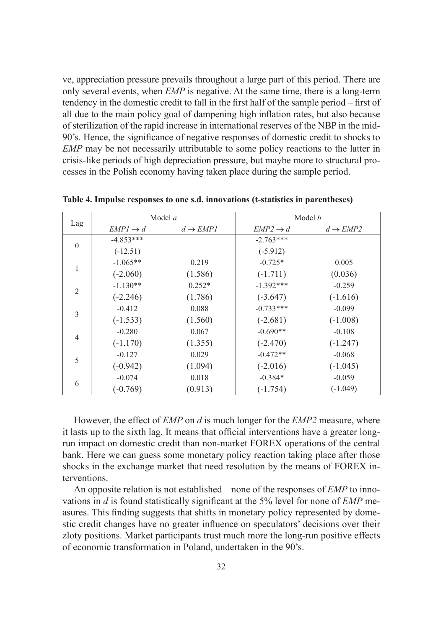ve, appreciation pressure prevails throughout a large part of this period. There are only several events, when *EMP* is negative. At the same time, there is a long-term tendency in the domestic credit to fall in the first half of the sample period  $-$  first of all due to the main policy goal of dampening high inflation rates, but also because of sterilization of the rapid increase in international reserves of the NBP in the mid-90's. Hence, the significance of negative responses of domestic credit to shocks to *EMP* may be not necessarily attributable to some policy reactions to the latter in crisis-like periods of high depreciation pressure, but maybe more to structural processes in the Polish economy having taken place during the sample period.

|                |                      | Model a              | Model b              |                      |  |
|----------------|----------------------|----------------------|----------------------|----------------------|--|
| Lag            | $EMPI \rightarrow d$ | $d \rightarrow EMP1$ | $EMP2 \rightarrow d$ | $d \rightarrow EMP2$ |  |
| $\mathbf{0}$   | $-4.853***$          |                      | $-2.763***$          |                      |  |
|                | $(-12.51)$           |                      | $(-5.912)$           |                      |  |
|                | $-1.065**$           | 0.219                | $-0.725*$            | 0.005                |  |
|                | $(-2.060)$           | (1.586)              | $(-1.711)$           | (0.036)              |  |
| $\mathfrak{D}$ | $-1.130**$           | $0.252*$             | $-1.392***$          | $-0.259$             |  |
|                | $(-2.246)$           | (1.786)              | $(-3.647)$           | $(-1.616)$           |  |
| 3              | $-0.412$             | 0.088                | $-0.733***$          | $-0.099$             |  |
|                | $(-1.533)$           | (1.560)              | $(-2.681)$           | $(-1.008)$           |  |
| $\overline{4}$ | $-0.280$             | 0.067                | $-0.690**$           | $-0.108$             |  |
|                | $(-1.170)$           | (1.355)              | $(-2.470)$           | $(-1.247)$           |  |
| 5              | $-0.127$             | 0.029                | $-0.472**$           | $-0.068$             |  |
|                | $(-0.942)$           | (1.094)              | $(-2.016)$           | $(-1.045)$           |  |
| 6              | $-0.074$             | 0.018                | $-0.384*$            | $-0.059$             |  |
|                | $(-0.769)$           | (0.913)              | $(-1.754)$           | $(-1.049)$           |  |

**Table 4. Impulse responses to one s.d. innovations (t-statistics in parentheses)**

However, the effect of *EMP* on *d* is much longer for the *EMP2* measure, where it lasts up to the sixth lag. It means that official interventions have a greater longrun impact on domestic credit than non-market FOREX operations of the central bank. Here we can guess some monetary policy reaction taking place after those shocks in the exchange market that need resolution by the means of FOREX interventions.

An opposite relation is not established – none of the responses of *EMP* to innovations in *d* is found statistically significant at the 5% level for none of *EMP* measures. This finding suggests that shifts in monetary policy represented by domestic credit changes have no greater influence on speculators' decisions over their zloty positions. Market participants trust much more the long-run positive effects of economic transformation in Poland, undertaken in the 90's.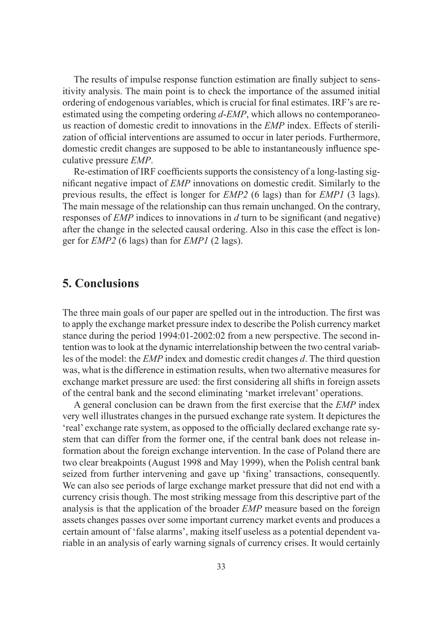The results of impulse response function estimation are finally subject to sensitivity analysis. The main point is to check the importance of the assumed initial ordering of endogenous variables, which is crucial for final estimates. IRF's are reestimated using the competing ordering *d*-*EMP*, which allows no contemporaneous reaction of domestic credit to innovations in the *EMP* index. Effects of sterilization of official interventions are assumed to occur in later periods. Furthermore, domestic credit changes are supposed to be able to instantaneously influence speculative pressure *EMP*.

Re-estimation of IRF coefficients supports the consistency of a long-lasting significant negative impact of *EMP* innovations on domestic credit. Similarly to the previous results, the effect is longer for *EMP2* (6 lags) than for *EMP1* (3 lags). The main message of the relationship can thus remain unchanged. On the contrary, responses of *EMP* indices to innovations in *d* turn to be significant (and negative) after the change in the selected causal ordering. Also in this case the effect is longer for *EMP2* (6 lags) than for *EMP1* (2 lags).

## **5. Conclusions**

The three main goals of our paper are spelled out in the introduction. The first was to apply the exchange market pressure index to describe the Polish currency market stance during the period 1994:01-2002:02 from a new perspective. The second intention was to look at the dynamic interrelationship between the two central variables of the model: the *EMP* index and domestic credit changes *d*. The third question was, what is the difference in estimation results, when two alternative measures for exchange market pressure are used: the first considering all shifts in foreign assets of the central bank and the second eliminating 'market irrelevant' operations.

A general conclusion can be drawn from the first exercise that the *EMP* index very well illustrates changes in the pursued exchange rate system. It depictures the 'real' exchange rate system, as opposed to the officially declared exchange rate system that can differ from the former one, if the central bank does not release information about the foreign exchange intervention. In the case of Poland there are two clear breakpoints (August 1998 and May 1999), when the Polish central bank seized from further intervening and gave up 'fixing' transactions, consequently. We can also see periods of large exchange market pressure that did not end with a currency crisis though. The most striking message from this descriptive part of the analysis is that the application of the broader *EMP* measure based on the foreign assets changes passes over some important currency market events and produces a certain amount of 'false alarms', making itself useless as a potential dependent variable in an analysis of early warning signals of currency crises. It would certainly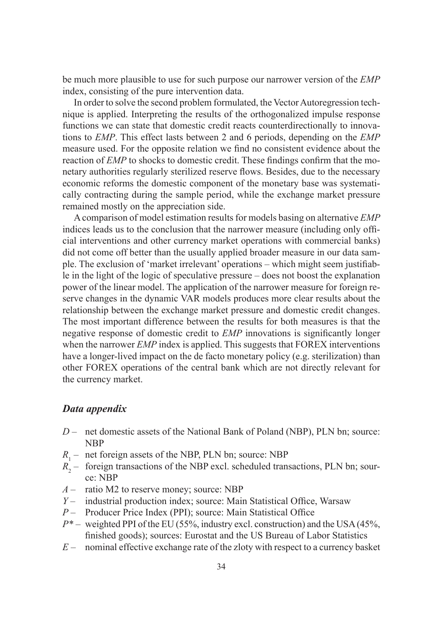be much more plausible to use for such purpose our narrower version of the *EMP* index, consisting of the pure intervention data.

In order to solve the second problem formulated, the Vector Autoregression technique is applied. Interpreting the results of the orthogonalized impulse response functions we can state that domestic credit reacts counterdirectionally to innovations to *EMP*. This effect lasts between 2 and 6 periods, depending on the *EMP* measure used. For the opposite relation we find no consistent evidence about the reaction of *EMP* to shocks to domestic credit. These findings confirm that the monetary authorities regularly sterilized reserve flows. Besides, due to the necessary economic reforms the domestic component of the monetary base was systematically contracting during the sample period, while the exchange market pressure remained mostly on the appreciation side.

A comparison of model estimation results for models basing on alternative *EMP*  indices leads us to the conclusion that the narrower measure (including only official interventions and other currency market operations with commercial banks) did not come off better than the usually applied broader measure in our data sample. The exclusion of 'market irrelevant' operations – which might seem justifiable in the light of the logic of speculative pressure – does not boost the explanation power of the linear model. The application of the narrower measure for foreign reserve changes in the dynamic VAR models produces more clear results about the relationship between the exchange market pressure and domestic credit changes. The most important difference between the results for both measures is that the negative response of domestic credit to *EMP* innovations is significantly longer when the narrower *EMP* index is applied. This suggests that FOREX interventions have a longer-lived impact on the de facto monetary policy (e.g. sterilization) than other FOREX operations of the central bank which are not directly relevant for the currency market.

#### *Data appendix*

- *D* net domestic assets of the National Bank of Poland (NBP), PLN bn; source: NBP
- $R_1$  net foreign assets of the NBP, PLN bn; source: NBP
- $R<sub>2</sub>$  foreign transactions of the NBP excl. scheduled transactions, PLN bn; source: NBP
- *A –* ratio M2 to reserve money; source: NBP
- *Y* industrial production index; source: Main Statistical Office, Warsaw
- *P* Producer Price Index (PPI); source: Main Statistical Office
- *P\* –* weighted PPI of the EU (55%, industry excl. construction) and the USA (45%, finished goods); sources: Eurostat and the US Bureau of Labor Statistics
- *E –* nominal effective exchange rate of the zloty with respect to a currency basket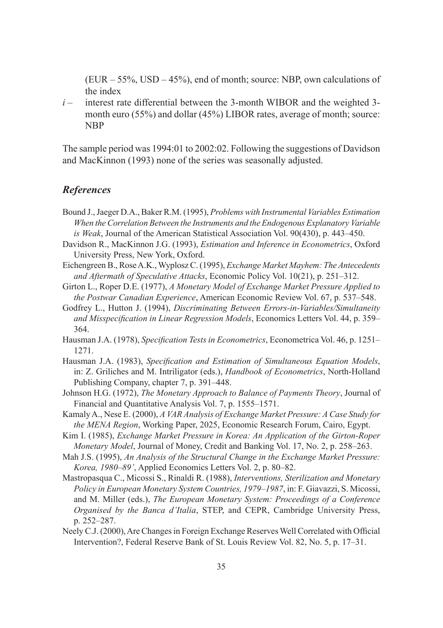(EUR *–* 55%, USD *–* 45%), end of month; source: NBP, own calculations of the index

*i –* interest rate differential between the 3-month WIBOR and the weighted 3 month euro (55%) and dollar (45%) LIBOR rates, average of month; source: **NBP** 

The sample period was 1994:01 to 2002:02. Following the suggestions of Davidson and MacKinnon (1993) none of the series was seasonally adjusted.

#### *References*

- Bound J., Jaeger D.A., Baker R.M. (1995), *Problems with Instrumental Variables Estimation When the Correlation Between the Instruments and the Endogenous Explanatory Variable is Weak*, Journal of the American Statistical Association Vol. 90(430), p. 443–450.
- Davidson R., MacKinnon J.G. (1993), *Estimation and Inference in Econometrics*, Oxford University Press, New York, Oxford.
- Eichengreen B., Rose A.K., Wyplosz C. (1995), *Exchange Market Mayhem: The Antecedents and Aftermath of Speculative Attacks*, Economic Policy Vol. 10(21), p. 251–312.
- Girton L., Roper D.E. (1977), *A Monetary Model of Exchange Market Pressure Applied to the Postwar Canadian Experience*, American Economic Review Vol. 67, p. 537–548.
- Godfrey L., Hutton J. (1994), *Discriminating Between Errors-in-Variables/Simultaneity and Misspecification in Linear Regression Models*, Economics Letters Vol. 44, p. 359– 364.
- Hausman J.A. (1978), *Specification Tests in Econometrics*, Econometrica Vol. 46, p. 1251– 1271.
- Hausman J.A. (1983), *Specification and Estimation of Simultaneous Equation Models*, in: Z. Griliches and M. Intriligator (eds.), *Handbook of Econometrics*, North-Holland Publishing Company, chapter 7, p. 391–448.
- Johnson H.G. (1972), *The Monetary Approach to Balance of Payments Theory*, Journal of Financial and Quantitative Analysis Vol. 7, p. 1555–1571.
- Kamaly A., Nese E. (2000), *A VAR Analysis of Exchange Market Pressure: A Case Study for the MENA Region*, Working Paper, 2025, Economic Research Forum, Cairo, Egypt.
- Kim I. (1985), *Exchange Market Pressure in Korea: An Application of the Girton-Roper Monetary Model*, Journal of Money, Credit and Banking Vol. 17, No. 2, p. 258–263.
- Mah J.S. (1995), *An Analysis of the Structural Change in the Exchange Market Pressure: Korea, 1980–89'*, Applied Economics Letters Vol. 2, p. 80–82.
- Mastropasqua C., Micossi S., Rinaldi R. (1988), *Interventions, Sterilization and Monetary Policy in European Monetary System Countries, 1979–1987*, in: F. Giavazzi, S. Micossi, and M. Miller (eds.), *The European Monetary System: Proceedings of a Conference Organised by the Banca d'Italia*, STEP, and CEPR, Cambridge University Press, p. 252–287.
- Neely C.J. (2000), Are Changes in Foreign Exchange Reserves Well Correlated with Official Intervention?, Federal Reserve Bank of St. Louis Review Vol. 82, No. 5, p. 17–31.